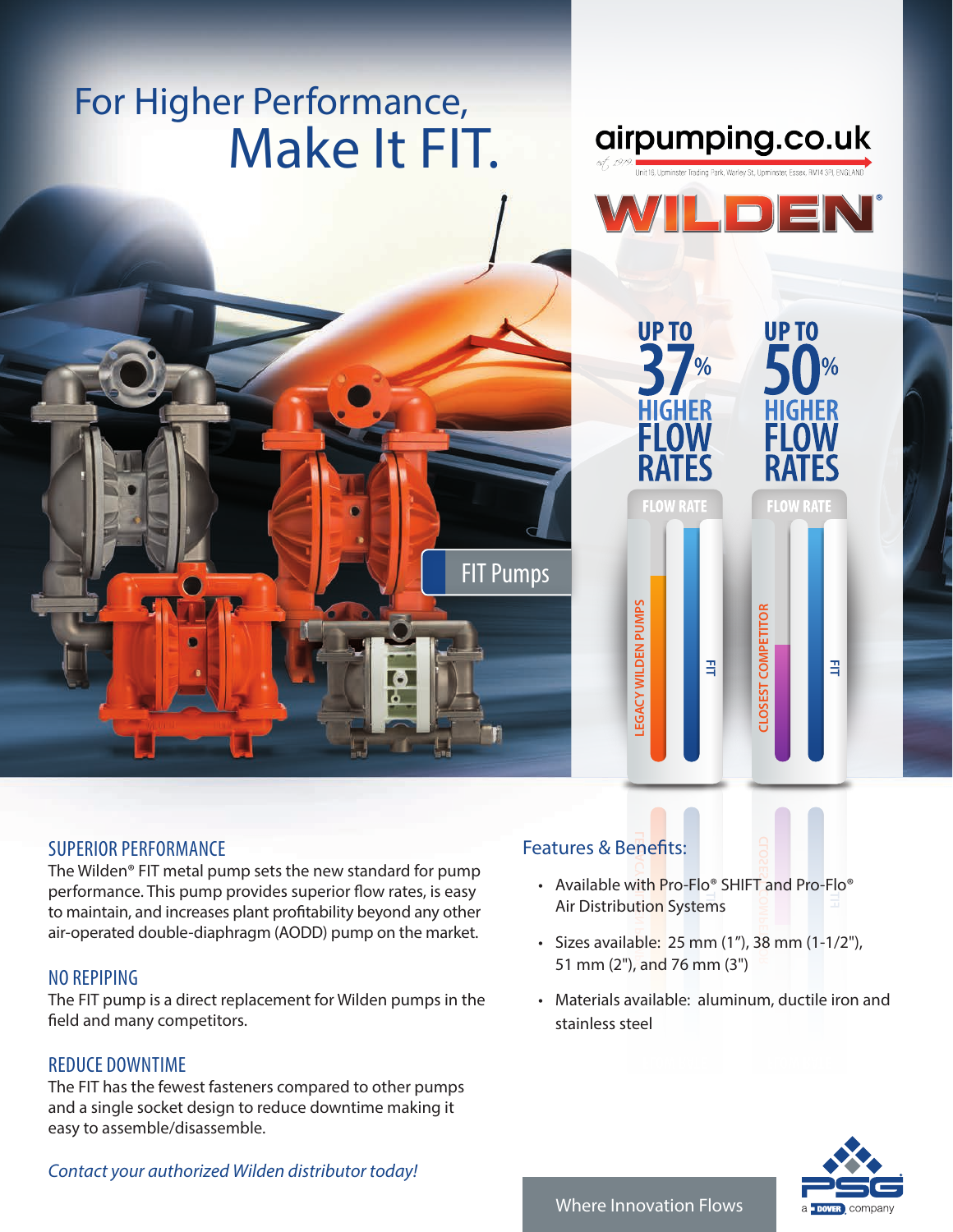# Make It FIT. For Higher Performance,



airpumping.co.uk

E

# SUPERIOR PERFORMANCE

The Wilden® FIT metal pump sets the new standard for pump performance. This pump provides superior flow rates, is easy to maintain, and increases plant profitability beyond any other air-operated double-diaphragm (AODD) pump on the market.

# NO REPIPING

The FIT pump is a direct replacement for Wilden pumps in the field and many competitors.

# REDUCE DOWNTIME

The FIT has the fewest fasteners compared to other pumps and a single socket design to reduce downtime making it easy to assemble/disassemble.

# Features & Benefits:

FIT Pumps

- LEGACY TO **PUMP FIT** Air Distribution Systems **CLOSEST COMPETITOR** • Available with Pro-Flo® SHIFT and Pro-Flo®
- Sizes available: 25 mm (1"), 38 mm (1-1/2"), 51 mm (2"), and 76 mm (3")
- Materials available: aluminum, ductile iron and stainless steel



#### *Contact your authorized Wilden distributor today!*

### Where Innovation Flows